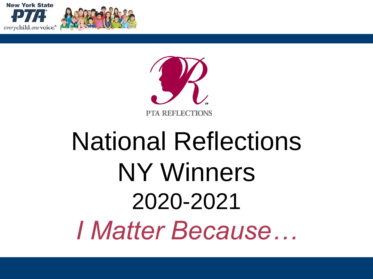





# **National Reflections NY Winners** 2020-2021 *I Matter Because...*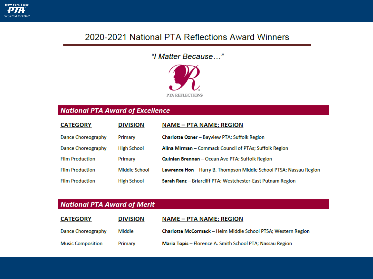

#### 2020-2021 National PTA Reflections Award Winners

#### "I Matter Because..."



#### **National PTA Award of Excellence**

| <b>CATEGORY</b>           | <b>DIVISION</b>    | <b>NAME - PTA NAME; REGION</b>                                     |
|---------------------------|--------------------|--------------------------------------------------------------------|
| <b>Dance Choreography</b> | Primary            | <b>Charlotte Ozner</b> – Bayview PTA; Suffolk Region               |
| Dance Choreography        | <b>High School</b> | Alina Mirman - Commack Council of PTAs; Suffolk Region             |
| <b>Film Production</b>    | Primary            | Quinlan Brennan - Ocean Ave PTA; Suffolk Region                    |
| <b>Film Production</b>    | Middle School      | Lawrence Hon - Harry B. Thompson Middle School PTSA; Nassau Region |
| <b>Film Production</b>    | <b>High School</b> | Sarah Renz - Briarcliff PTA; Westchester-East Putnam Region        |

#### **National PTA Award of Merit**

| <b>CATEGORY</b>           | <b>DIVISION</b> | <b>NAME – PTA NAME; REGION</b>                                       |
|---------------------------|-----------------|----------------------------------------------------------------------|
| <b>Dance Choreography</b> | Middle          | <b>Charlotte McCormack - Heim Middle School PTSA: Western Region</b> |
| <b>Music Composition</b>  | Primary         | <b>Maria Topis</b> – Florence A. Smith School PTA; Nassau Region     |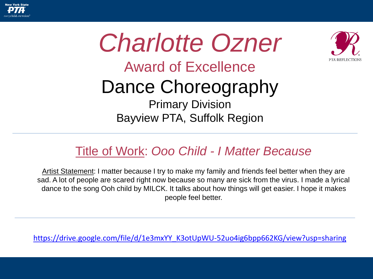





## Award of Excellence

## Dance Choreography

Primary Division Bayview PTA, Suffolk Region

### Title of Work: *Ooo Child - I Matter Because*

Artist Statement: I matter because I try to make my family and friends feel better when they are sad. A lot of people are scared right now because so many are sick from the virus. I made a lyrical dance to the song Ooh child by MILCK. It talks about how things will get easier. I hope it makes people feel better.

[https://drive.google.com/file/d/1e3mxYY\\_K3otUpWU-52uo4ig6bpp662KG/view?usp=sharing](https://drive.google.com/file/d/1e3mxYY_K3otUpWU-52uo4ig6bpp662KG/view?usp=sharing)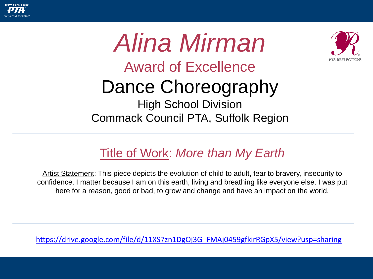





Artist Statement: This piece depicts the evolution of child to adult, fear to bravery, insecurity to confidence. I matter because I am on this earth, living and breathing like everyone else. I was put here for a reason, good or bad, to grow and change and have an impact on the world.

[https://drive.google.com/file/d/11XS7zn1DgOj3G\\_FMAj0459gfkirRGpX5/view?usp=sharing](https://drive.google.com/file/d/11XS7zn1DgOj3G_FMAj0459gfkirRGpX5/view?usp=sharing)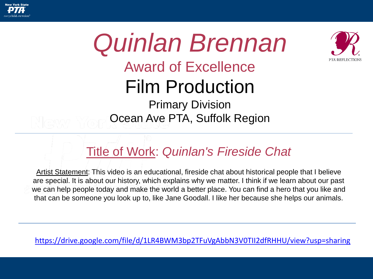



### Title of Work: *Quinlan's Fireside Chat*

Artist Statement: This video is an educational, fireside chat about historical people that I believe are special. It is about our history, which explains why we matter. I think if we learn about our past we can help people today and make the world a better place. You can find a hero that you like and that can be someone you look up to, like Jane Goodall. I like her because she helps our animals.

<https://drive.google.com/file/d/1LR4BWM3bp2TFuVgAbbN3V0TII2dfRHHU/view?usp=sharing>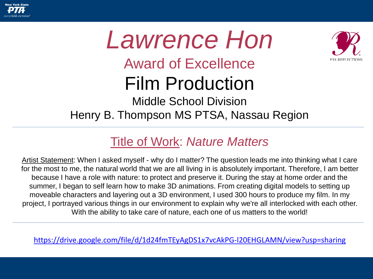

## *Lawrence Hon* Award of Excellence Film Production Middle School Division Henry B. Thompson MS PTSA, Nassau Region

### Title of Work: *Nature Matters*

Artist Statement: When I asked myself - why do I matter? The question leads me into thinking what I care for the most to me, the natural world that we are all living in is absolutely important. Therefore, I am better because I have a role with nature: to protect and preserve it. During the stay at home order and the summer, I began to self learn how to make 3D animations. From creating digital models to setting up moveable characters and layering out a 3D environment, I used 300 hours to produce my film. In my project, I portrayed various things in our environment to explain why we're all interlocked with each other. With the ability to take care of nature, each one of us matters to the world!

<https://drive.google.com/file/d/1d24fmTEyAgDS1x7vcAkPG-l20EHGLAMN/view?usp=sharing>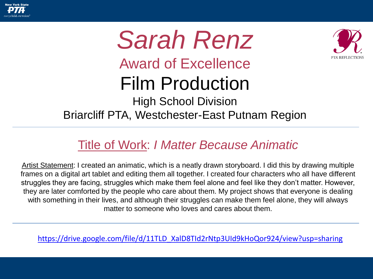

## *Sarah Renz* Award of Excellence Film Production High School Division Briarcliff PTA, Westchester-East Putnam Region

### Title of Work: *I Matter Because Animatic*

Artist Statement: I created an animatic, which is a neatly drawn storyboard. I did this by drawing multiple frames on a digital art tablet and editing them all together. I created four characters who all have different struggles they are facing, struggles which make them feel alone and feel like they don't matter. However, they are later comforted by the people who care about them. My project shows that everyone is dealing with something in their lives, and although their struggles can make them feel alone, they will always matter to someone who loves and cares about them.

[https://drive.google.com/file/d/11TLD\\_XalD8TId2rNtp3UId9kHoQor924/view?usp=sharing](https://drive.google.com/file/d/11TLD_XalD8TId2rNtp3UId9kHoQor924/view?usp=sharing)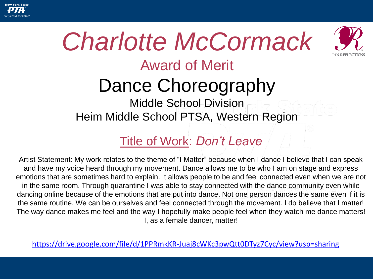





## Award of Merit

## Dance Choreography

Middle School Division Heim Middle School PTSA, Western Region

### Title of Work: *Don't Leave*

Artist Statement: My work relates to the theme of "I Matter" because when I dance I believe that I can speak and have my voice heard through my movement. Dance allows me to be who I am on stage and express emotions that are sometimes hard to explain. It allows people to be and feel connected even when we are not in the same room. Through quarantine I was able to stay connected with the dance community even while dancing online because of the emotions that are put into dance. Not one person dances the same even if it is the same routine. We can be ourselves and feel connected through the movement. I do believe that I matter! The way dance makes me feel and the way I hopefully make people feel when they watch me dance matters! I, as a female dancer, matter!

<https://drive.google.com/file/d/1PPRmkKR-Juaj8cWKc3pwQtt0DTyz7Cyc/view?usp=sharing>